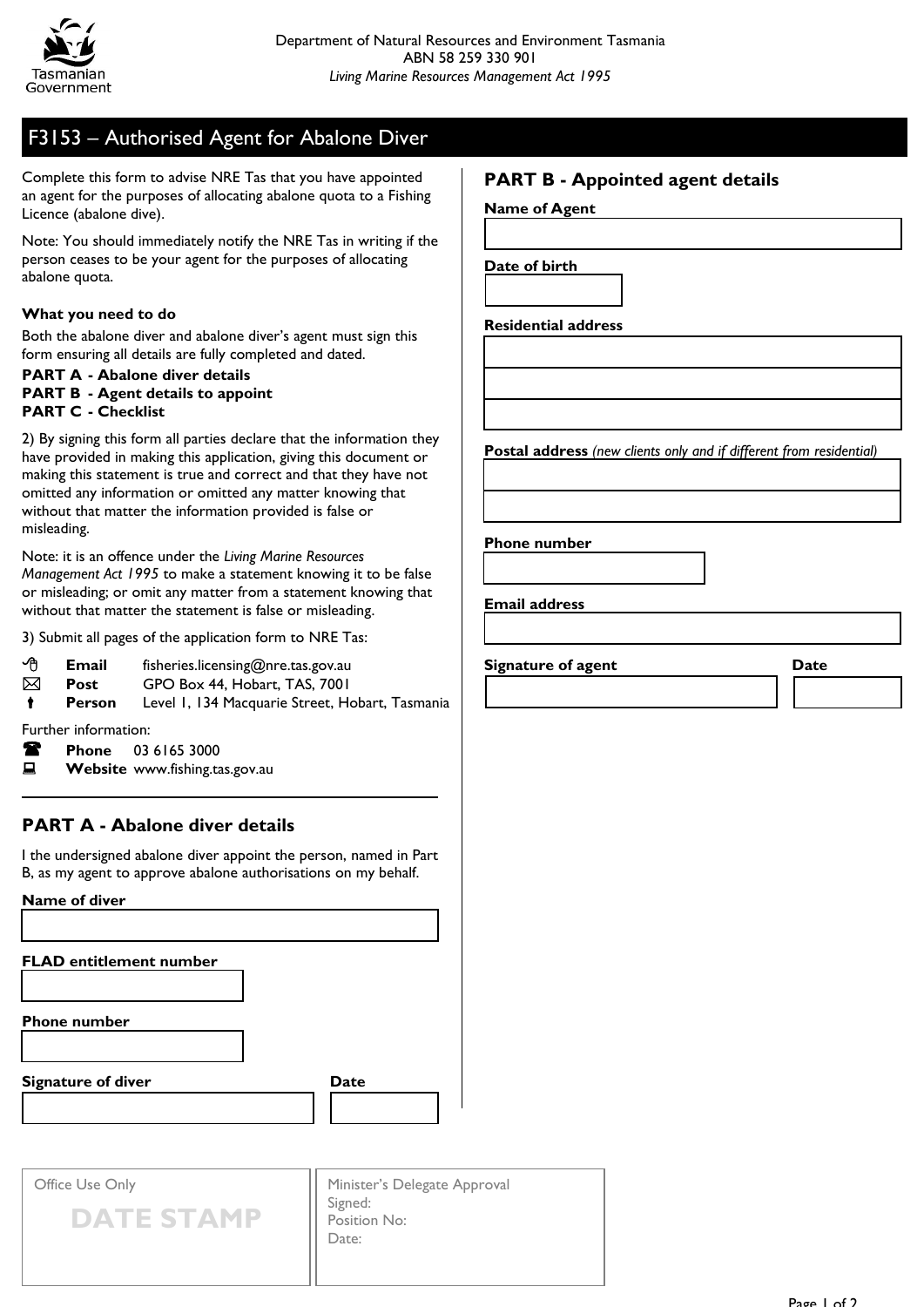

# F3153 – Authorised Agent for Abalone Diver

Complete this form to advise NRE Tas that you have appointed an agent for the purposes of allocating abalone quota to a Fishing Licence (abalone dive).

Note: You should immediately notify the NRE Tas in writing if the person ceases to be your agent for the purposes of allocating abalone quota.

#### **What you need to do**

Both the abalone diver and abalone diver's agent must sign this form ensuring all details are fully completed and dated.

#### **PART A - Abalone diver details PART B - Agent details to appoint PART C - Checklist**

2) By signing this form all parties declare that the information they have provided in making this application, giving this document or making this statement is true and correct and that they have not omitted any information or omitted any matter knowing that without that matter the information provided is false or misleading.

Note: it is an offence under the *Living Marine Resources Management Act 1995* to make a statement knowing it to be false or misleading; or omit any matter from a statement knowing that without that matter the statement is false or misleading.

3) Submit all pages of the application form to NRE Tas:

- **Email** fisheries.licensing@nre.tas.gov.au
- **Post** GPO Box 44, Hobart, TAS, 7001

Person Level 1, 134 Macquarie Street, Hobart, Tasmania

Further information:

- **Phone** 03 6165 3000
- **E** Website www.fishing.tas.gov.au

### **PART A - Abalone diver details**

I the undersigned abalone diver appoint the person, named in Part B, as my agent to approve abalone authorisations on my behalf.

#### **Name of diver**

**FLAD entitlement number**

**Phone number**

**Signature of diver Date** 



Office Use Only



Minister's Delegate Approval Signed: Position No: Date:

### **PART B - Appointed agent details**

**Name of Agent** 

**Date of birth**

**Residential address**

**Postal address** *(new clients only and if different from residential)*

**Phone number**

**Email address**

**Signature of agent Date**